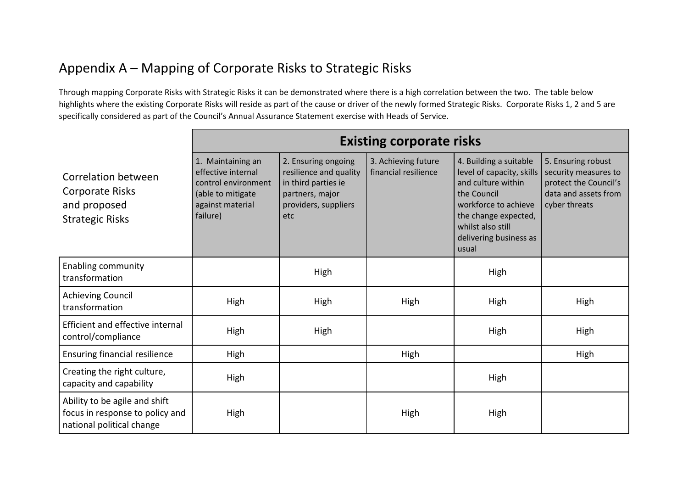## Appendix A – Mapping of Corporate Risks to Strategic Risks

Through mapping Corporate Risks with Strategic Risks it can be demonstrated where there is a high correlation between the two. The table below highlights where the existing Corporate Risks will reside as part of the cause or driver of the newly formed Strategic Risks. Corporate Risks 1, 2 and 5 are specifically considered as part of the Council's Annual Assurance Statement exercise with Heads of Service.

|                                                                                               | <b>Existing corporate risks</b>                                                                                     |                                                                                                                        |                                             |                                                                                                                                                                                                  |                                                                                                              |
|-----------------------------------------------------------------------------------------------|---------------------------------------------------------------------------------------------------------------------|------------------------------------------------------------------------------------------------------------------------|---------------------------------------------|--------------------------------------------------------------------------------------------------------------------------------------------------------------------------------------------------|--------------------------------------------------------------------------------------------------------------|
| Correlation between<br><b>Corporate Risks</b><br>and proposed<br><b>Strategic Risks</b>       | 1. Maintaining an<br>effective internal<br>control environment<br>(able to mitigate<br>against material<br>failure) | 2. Ensuring ongoing<br>resilience and quality<br>in third parties ie<br>partners, major<br>providers, suppliers<br>etc | 3. Achieving future<br>financial resilience | 4. Building a suitable<br>level of capacity, skills<br>and culture within<br>the Council<br>workforce to achieve<br>the change expected,<br>whilst also still<br>delivering business as<br>usual | 5. Ensuring robust<br>security measures to<br>protect the Council's<br>data and assets from<br>cyber threats |
| <b>Enabling community</b><br>transformation                                                   |                                                                                                                     | High                                                                                                                   |                                             | High                                                                                                                                                                                             |                                                                                                              |
| <b>Achieving Council</b><br>transformation                                                    | High                                                                                                                | High                                                                                                                   | High                                        | High                                                                                                                                                                                             | High                                                                                                         |
| <b>Efficient and effective internal</b><br>control/compliance                                 | High                                                                                                                | High                                                                                                                   |                                             | High                                                                                                                                                                                             | High                                                                                                         |
| <b>Ensuring financial resilience</b>                                                          | High                                                                                                                |                                                                                                                        | High                                        |                                                                                                                                                                                                  | High                                                                                                         |
| Creating the right culture,<br>capacity and capability                                        | High                                                                                                                |                                                                                                                        |                                             | High                                                                                                                                                                                             |                                                                                                              |
| Ability to be agile and shift<br>focus in response to policy and<br>national political change | High                                                                                                                |                                                                                                                        | High                                        | High                                                                                                                                                                                             |                                                                                                              |